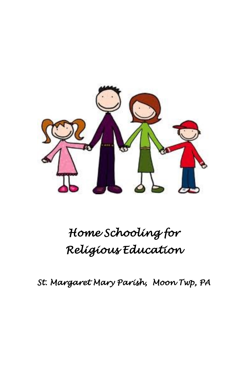

# *Home Schooling for Religious Education*

*St. Margaret Mary Parish, Moon Twp, PA*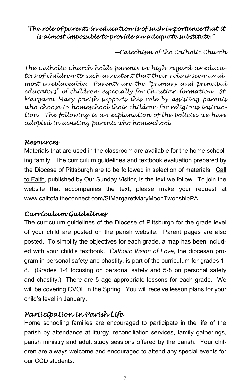## *"The role of parents in education is of such importance that it is almost impossible to provide an adequate substitute."*

*—Catechism of the Catholic Church*

*The Catholic Church holds parents in high regard as educators of children to such an extent that their role is seen as almost irreplaceable. Parents are the "primary and principal educators" of children, especially for Christian formation. St. Margaret Mary parish supports this role by assisting parents who choose to homeschool their children for religious instruction. The following is an explanation of the policies we have adopted in assisting parents who homeschool.*

### *Resources*

Materials that are used in the classroom are available for the home schooling family. The curriculum guidelines and textbook evaluation prepared by the Diocese of Pittsburgh are to be followed in selection of materials. Call to Faith, published by Our Sunday Visitor, is the text we follow. To join the website that accompanies the text, please make your request at www.calltofaitheconnect.com/StMargaretMaryMoonTwonshipPA.

## *Curriculum Guidelines*

The curriculum guidelines of the Diocese of Pittsburgh for the grade level of your child are posted on the parish website. Parent pages are also posted. To simplify the objectives for each grade, a map has been included with your child's textbook. *Catholic Vision of Love,* the diocesan program in personal safety and chastity, is part of the curriculum for grades 1- 8. (Grades 1-4 focusing on personal safety and 5-8 on personal safety and chastity.) There are 5 age-appropriate lessons for each grade. We will be covering CVOL in the Spring. You will receive lesson plans for your child's level in January.

## *Participation in Parish Life*

Home schooling families are encouraged to participate in the life of the parish by attendance at liturgy, reconciliation services, family gatherings, parish ministry and adult study sessions offered by the parish. Your children are always welcome and encouraged to attend any special events for our CCD students.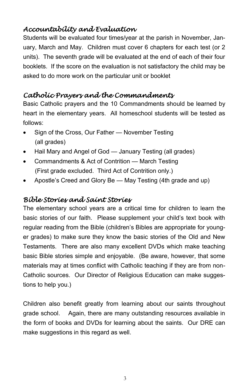# *Accountability and Evaluation*

Students will be evaluated four times/year at the parish in November, January, March and May. Children must cover 6 chapters for each test (or 2 units). The seventh grade will be evaluated at the end of each of their four booklets. If the score on the evaluation is not satisfactory the child may be asked to do more work on the particular unit or booklet

# *Catholic Prayers and the Commandments*

Basic Catholic prayers and the 10 Commandments should be learned by heart in the elementary years. All homeschool students will be tested as follows:

- Sign of the Cross, Our Father November Testing (all grades)
- Hail Mary and Angel of God January Testing (all grades)
- Commandments & Act of Contrition March Testing (First grade excluded. Third Act of Contrition only.)
- Apostle's Creed and Glory Be May Testing (4th grade and up)

# *Bible Stories and Saint Stories*

The elementary school years are a critical time for children to learn the basic stories of our faith. Please supplement your child's text book with regular reading from the Bible (children's Bibles are appropriate for younger grades) to make sure they know the basic stories of the Old and New Testaments. There are also many excellent DVDs which make teaching basic Bible stories simple and enjoyable. (Be aware, however, that some materials may at times conflict with Catholic teaching if they are from non-Catholic sources. Our Director of Religious Education can make suggestions to help you.)

Children also benefit greatly from learning about our saints throughout grade school. Again, there are many outstanding resources available in the form of books and DVDs for learning about the saints. Our DRE can make suggestions in this regard as well.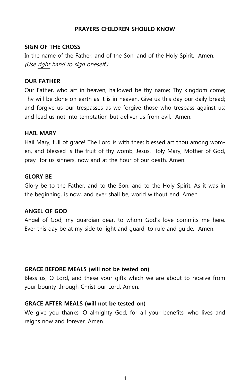#### **PRAYERS CHILDREN SHOULD KNOW**

#### **SIGN OF THE CROSS**

In the name of the Father, and of the Son, and of the Holy Spirit. Amen. (Use right hand to sign oneself.)

#### **OUR FATHER**

Our Father, who art in heaven, hallowed be thy name; Thy kingdom come; Thy will be done on earth as it is in heaven. Give us this day our daily bread; and forgive us our trespasses as we forgive those who trespass against us; and lead us not into temptation but deliver us from evil. Amen.

#### **HAIL MARY**

Hail Mary, full of grace! The Lord is with thee; blessed art thou among women, and blessed is the fruit of thy womb, Jesus. Holy Mary, Mother of God, pray for us sinners, now and at the hour of our death. Amen.

#### **GLORY BE**

Glory be to the Father, and to the Son, and to the Holy Spirit. As it was in the beginning, is now, and ever shall be, world without end. Amen.

#### **ANGEL OF GOD**

Angel of God, my guardian dear, to whom God's love commits me here. Ever this day be at my side to light and guard, to rule and guide. Amen.

#### **GRACE BEFORE MEALS (will not be tested on)**

Bless us, O Lord, and these your gifts which we are about to receive from your bounty through Christ our Lord. Amen.

#### **GRACE AFTER MEALS (will not be tested on)**

We give you thanks, O almighty God, for all your benefits, who lives and reigns now and forever. Amen.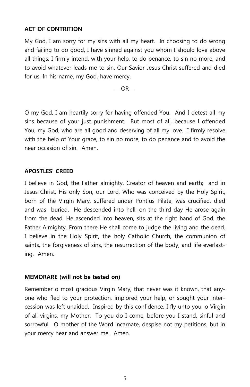#### **ACT OF CONTRITION**

My God, I am sorry for my sins with all my heart. In choosing to do wrong and failing to do good, I have sinned against you whom I should love above all things. I firmly intend, with your help, to do penance, to sin no more, and to avoid whatever leads me to sin. Our Savior Jesus Christ suffered and died for us. In his name, my God, have mercy.

 $-OR-$ 

O my God, I am heartily sorry for having offended You. And I detest all my sins because of your just punishment. But most of all, because I offended You, my God, who are all good and deserving of all my love. I firmly resolve with the help of Your grace, to sin no more, to do penance and to avoid the near occasion of sin. Amen.

#### **APOSTLES' CREED**

I believe in God, the Father almighty, Creator of heaven and earth; and in Jesus Christ, His only Son, our Lord, Who was conceived by the Holy Spirit, born of the Virgin Mary, suffered under Pontius Pilate, was crucified, died and was buried. He descended into hell; on the third day He arose again from the dead. He ascended into heaven, sits at the right hand of God, the Father Almighty. From there He shall come to judge the living and the dead. I believe in the Holy Spirit, the holy Catholic Church, the communion of saints, the forgiveness of sins, the resurrection of the body, and life everlasting. Amen.

#### **MEMORARE (will not be tested on)**

Remember o most gracious Virgin Mary, that never was it known, that anyone who fled to your protection, implored your help, or sought your intercession was left unaided. Inspired by this confidence, I fly unto you, o Virgin of all virgins, my Mother. To you do I come, before you I stand, sinful and sorrowful. O mother of the Word incarnate, despise not my petitions, but in your mercy hear and answer me. Amen.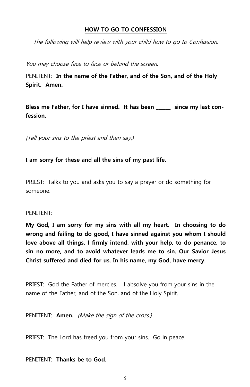#### **HOW TO GO TO CONFESSION**

The following will help review with your child how to go to Confession.

You may choose face to face or behind the screen.

PENITENT: **In the name of the Father, and of the Son, and of the Holy Spirit. Amen.**

**Bless me Father, for I have sinned. It has been \_\_\_\_\_\_ since my last confession.**

(Tell your sins to the priest and then say:)

**I am sorry for these and all the sins of my past life.** 

PRIEST: Talks to you and asks you to say a prayer or do something for someone.

#### PENITENT:

**My God, I am sorry for my sins with all my heart. In choosing to do wrong and failing to do good, I have sinned against you whom I should love above all things. I firmly intend, with your help, to do penance, to sin no more, and to avoid whatever leads me to sin. Our Savior Jesus Christ suffered and died for us. In his name, my God, have mercy.**

PRIEST: God the Father of mercies. . .I absolve you from your sins in the name of the Father, and of the Son, and of the Holy Spirit.

PENITENT: **Amen.** (Make the sign of the cross.)

PRIEST: The Lord has freed you from your sins. Go in peace.

PENITENT: **Thanks be to God.**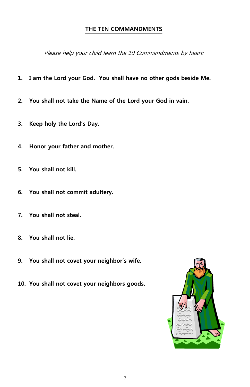#### **THE TEN COMMANDMENTS**

Please help your child learn the 10 Commandments by heart:

- **1. I am the Lord your God. You shall have no other gods beside Me.**
- **2. You shall not take the Name of the Lord your God in vain.**
- **3. Keep holy the Lord's Day.**
- **4. Honor your father and mother.**
- **5. You shall not kill.**
- **6. You shall not commit adultery.**
- **7. You shall not steal.**
- **8. You shall not lie.**
- **9. You shall not covet your neighbor's wife.**
- **10. You shall not covet your neighbors goods.**